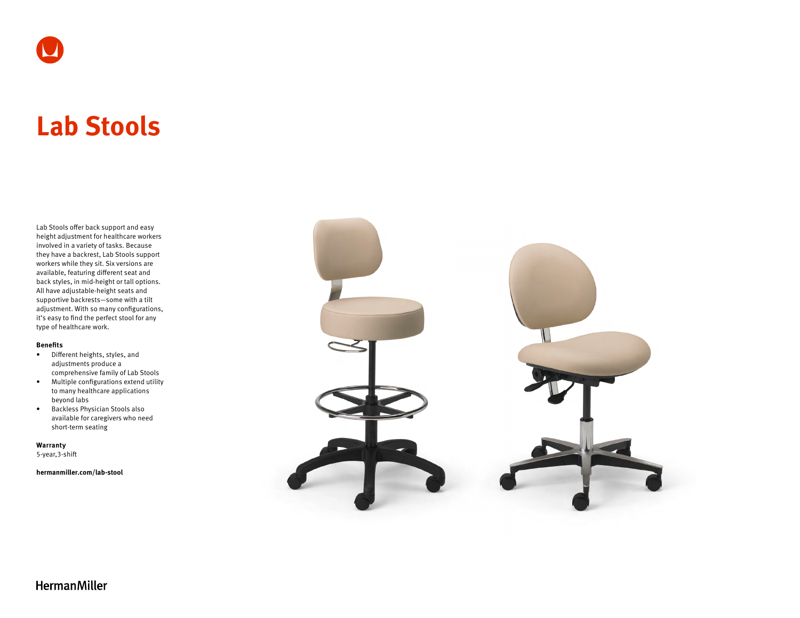

# **Lab Stools**

Lab Stools offer back support and easy height adjustment for healthcare workers involved in a variety of tasks. Because they have a backrest, Lab Stools support workers while they sit. Six versions are available, featuring different seat and back styles, in mid-height or tall options. All have adjustable-height seats and supportive backrests—some with a tilt adjustment. With so many configurations, it's easy to find the perfect stool for any type of healthcare work.

#### **Benefits**

- Different heights, styles, and adjustments produce a comprehensive family of Lab Stools
- Multiple configurations extend utility to many healthcare applications beyond labs
- Backless Physician Stools also available for caregivers who need short-term seating

**Warranty**  5-year,3-shift

**[hermanmiller.com/lab-stool](http://hermanmiller.com/lab-stool)**